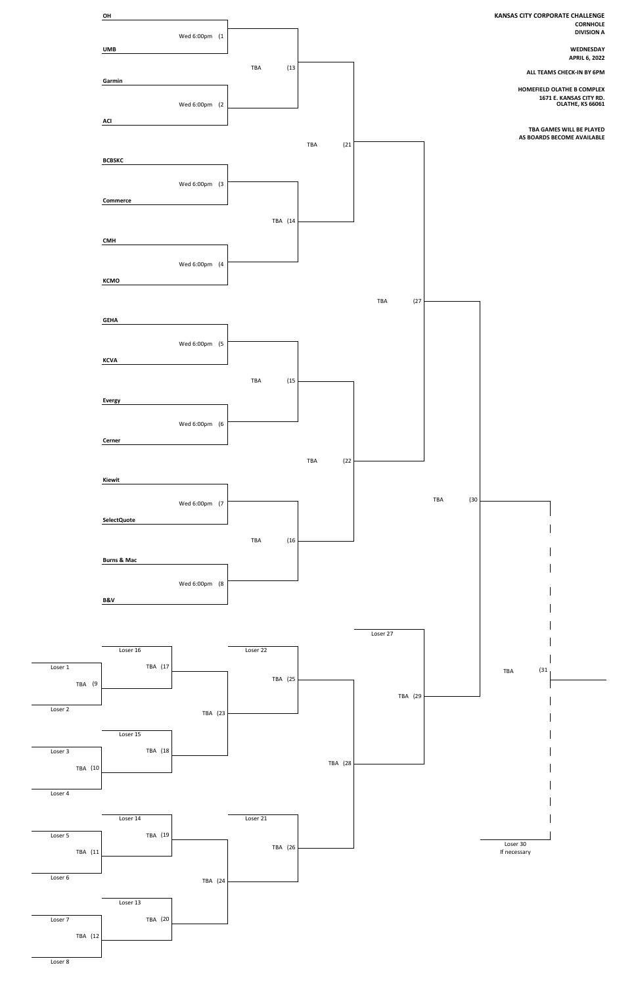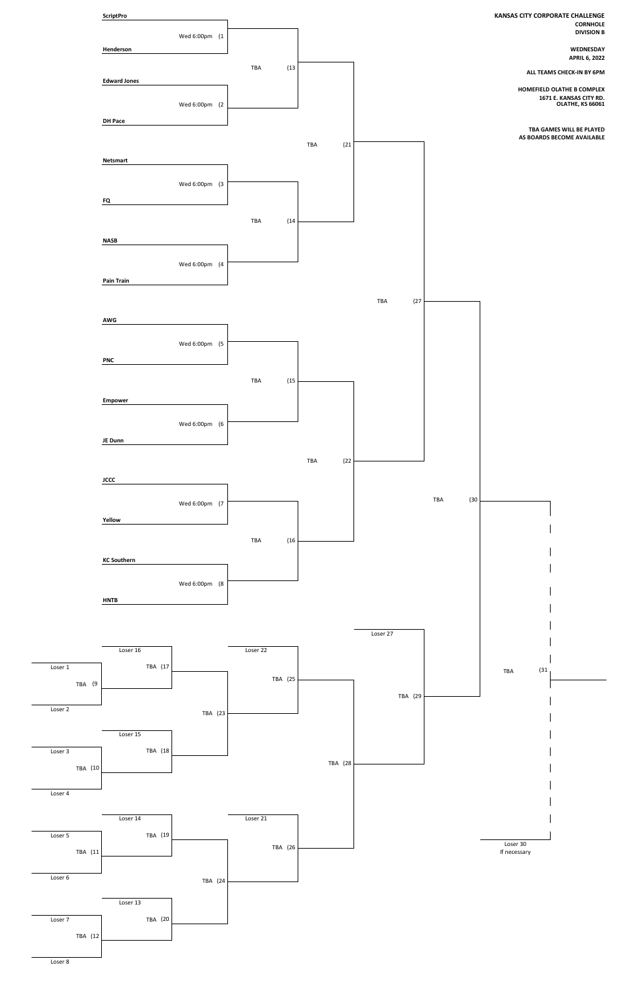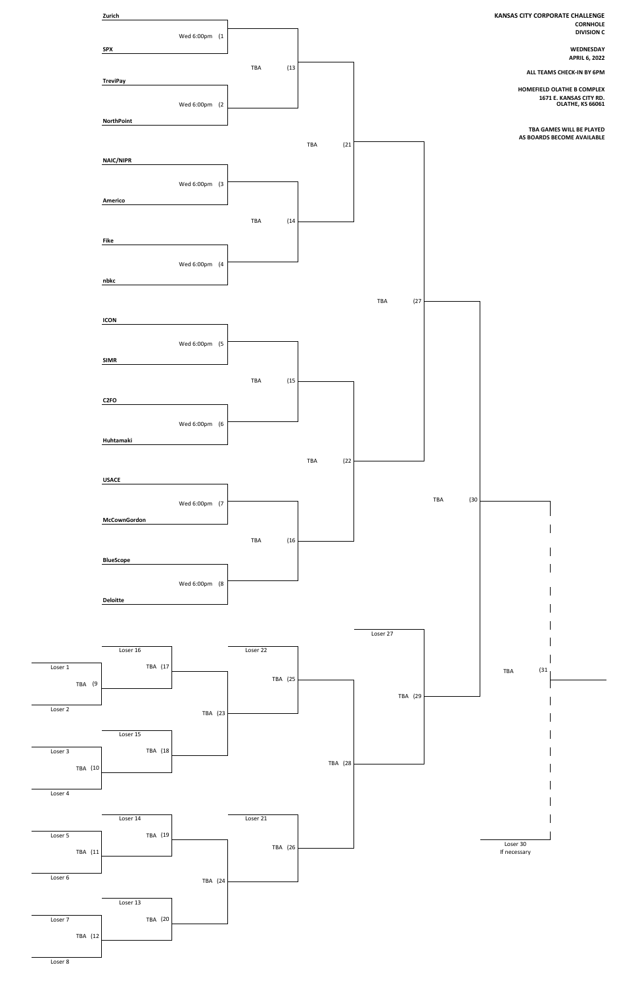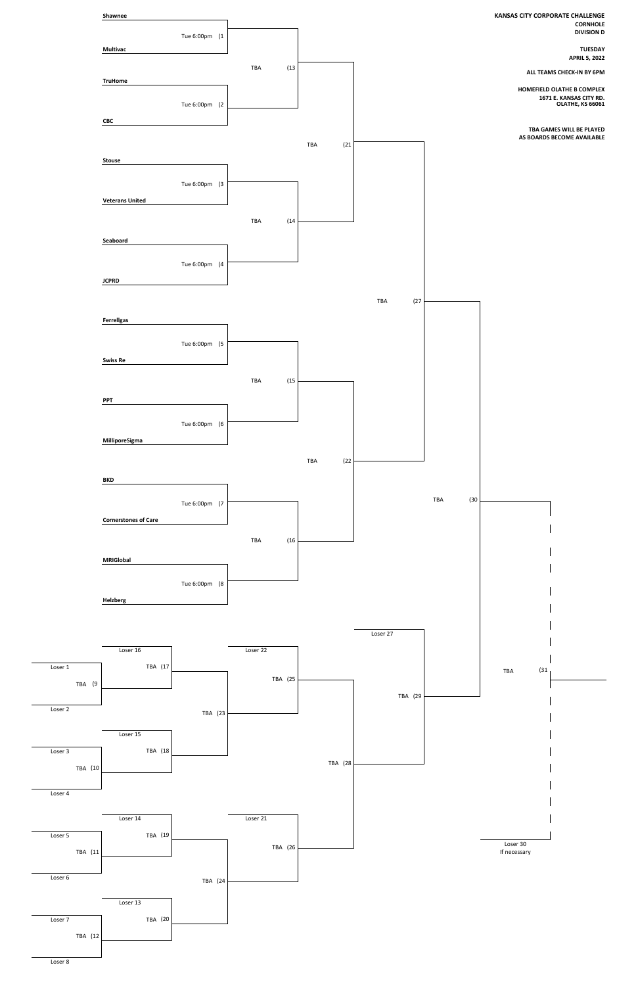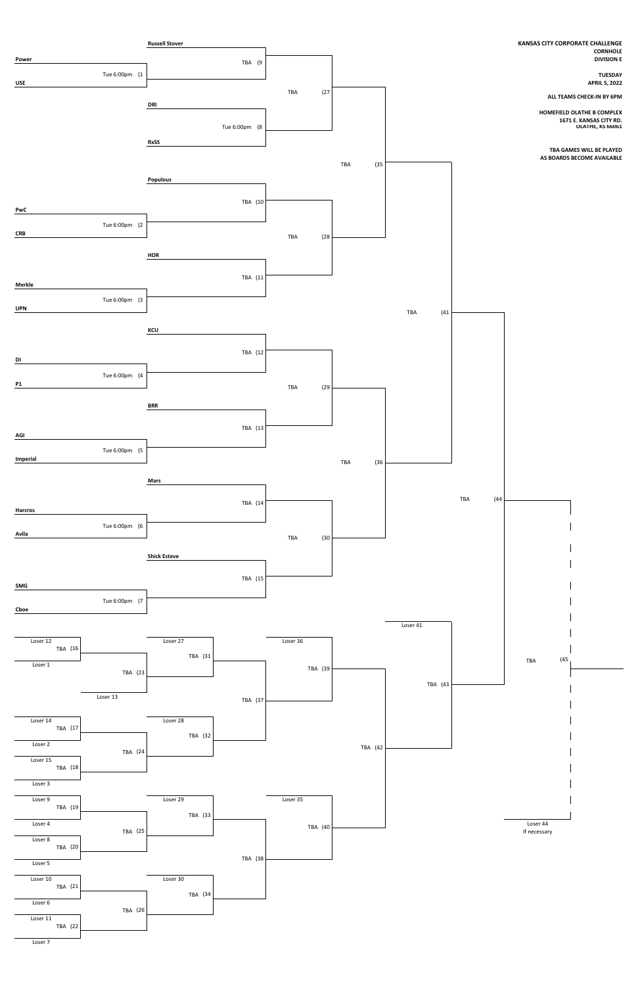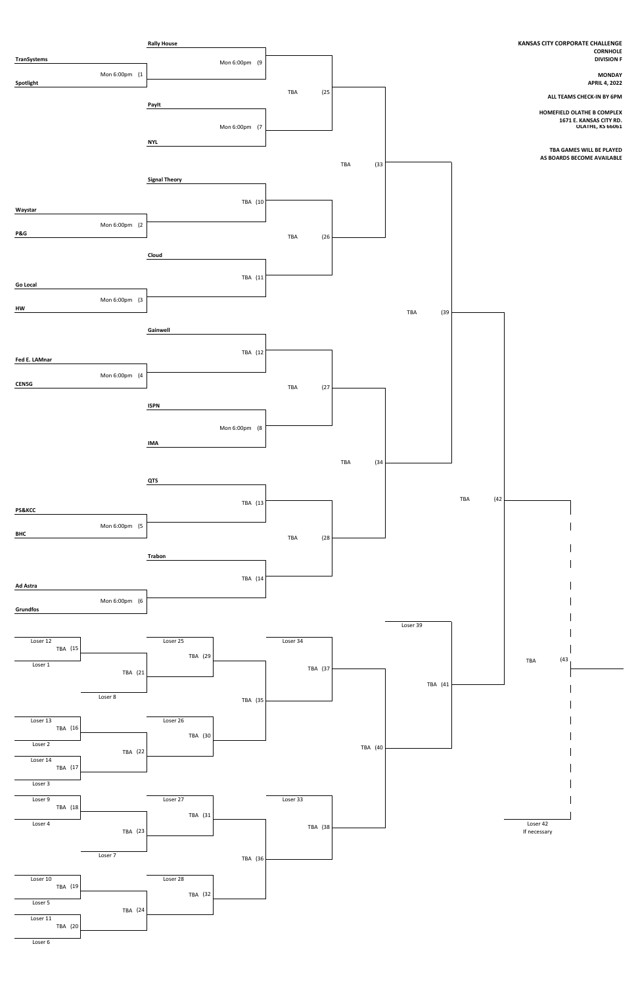